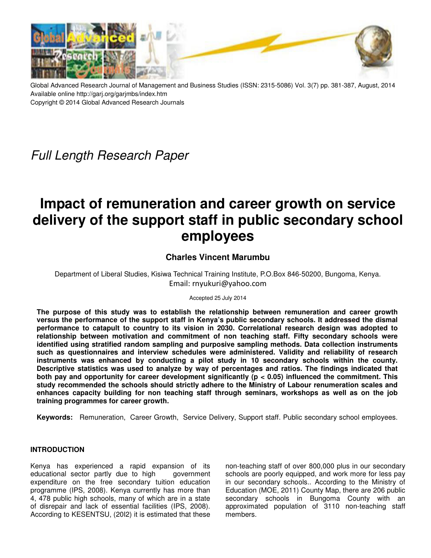

Global Advanced Research Journal of Management and Business Studies (ISSN: 2315-5086) Vol. 3(7) pp. 381-387, August, 2014 Available online http://garj.org/garjmbs/index.htm Copyright © 2014 Global Advanced Research Journals

## Full Length Research Paper

# **Impact of remuneration and career growth on service delivery of the support staff in public secondary school employees**

### **Charles Vincent Marumbu**

Department of Liberal Studies, Kisiwa Technical Training Institute, P.O.Box 846-50200, Bungoma, Kenya. Email: rnyukuri@yahoo.com

Accepted 25 July 2014

**The purpose of this study was to establish the relationship between remuneration and career growth versus the performance of the support staff in Kenya's public secondary schools. It addressed the dismal performance to catapult to country to its vision in 2030. Correlational research design was adopted to relationship between motivation and commitment of non teaching staff. Fifty secondary schools were identified using stratified random sampling and purposive sampling methods. Data collection instruments such as questionnaires and interview schedules were administered. Validity and reliability of research instruments was enhanced by conducting a pilot study in 10 secondary schools within the county. Descriptive statistics was used to analyze by way of percentages and ratios. The findings indicated that both pay and opportunity for career development significantly (p < 0.05) influenced the commitment. This study recommended the schools should strictly adhere to the Ministry of Labour renumeration scales and enhances capacity building for non teaching staff through seminars, workshops as well as on the job training programmes for career growth.** 

**Keywords:** Remuneration, Career Growth, Service Delivery, Support staff. Public secondary school employees.

#### **INTRODUCTION**

Kenya has experienced a rapid expansion of its educational sector partly due to high government expenditure on the free secondary tuition education programme (IPS, 2008). Kenya currently has more than 4, 478 public high schools, many of which are in a state of disrepair and lack of essential facilities (IPS, 2008). According to KESENTSU, (20I2) it is estimated that these

non-teaching staff of over 800,000 plus in our secondary schools are poorly equipped, and work more for less pay in our secondary schools.. According to the Ministry of Education (MOE, 2011) County Map, there are 206 public secondary schools in Bungoma County with an approximated population of 3110 non-teaching staff members.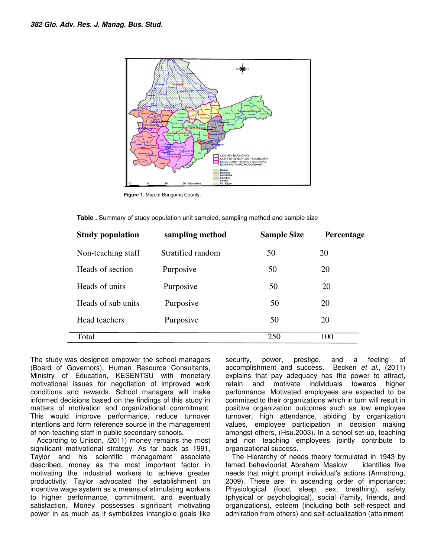

**Figure 1.** Map of Bungoma County.

|  |  | Table . Summary of study population unit sampled, sampling method and sample size |  |  |
|--|--|-----------------------------------------------------------------------------------|--|--|
|  |  |                                                                                   |  |  |

| <b>Study population</b> | sampling method   | <b>Sample Size</b> | Percentage |
|-------------------------|-------------------|--------------------|------------|
| Non-teaching staff      | Stratified random | 50                 | 20         |
| Heads of section        | Purposive         | 50                 | 20         |
| Heads of units          | Purposive         | 50                 | 20         |
| Heads of sub units      | Purposive         | 50                 | 20         |
| Head teachers           | Purposive         | 50                 | 20         |
| Total                   |                   | 250                | 100        |

The study was designed empower the school managers (Board of Governors), Human Resource Consultants, Ministry of Education, KESENTSU with monetary motivational issues for negotiation of improved work conditions and rewards. School managers will make informed decisions based on the findings of this study in matters of motivation and organizational commitment. This would improve performance, reduce turnover intentions and form reference source in the management of non-teaching staff in public secondary schools.

According to Unison, (2011) money remains the most significant motivational strategy. As far back as 1991, Taylor and his scientific management associate described, money as the most important factor in motivating the industrial workers to achieve greater productivity. Taylor advocated the establishment on incentive wage system as a means of stimulating workers to higher performance, commitment, and eventually satisfaction. Money possesses significant motivating power in as much as it symbolizes intangible goals like

security, power, prestige, and a feeling of accomplishment and success. Beckeri et al., (2011) explains that pay adequacy has the power to attract, retain and motivate individuals towards higher performance. Motivated employees are expected to be committed to their organizations which in turn will result in positive organization outcomes such as low employee turnover, high attendance, abiding by organization values, employee participation in decision making amongst others, (Hsu.2003). In a school set-up, teaching and non teaching employees jointly contribute to organizational success.

The Hierarchy of needs theory formulated in 1943 by famed behaviourist Abraham Maslow identifies five needs that might prompt individual's actions (Armstrong, 2009). These are, in ascending order of importance: Physiological (food, sleep, sex, breathing), safety (physical or psychological), social (family, friends, and organizations), esteem (including both self-respect and admiration from others) and self-actualization (attainment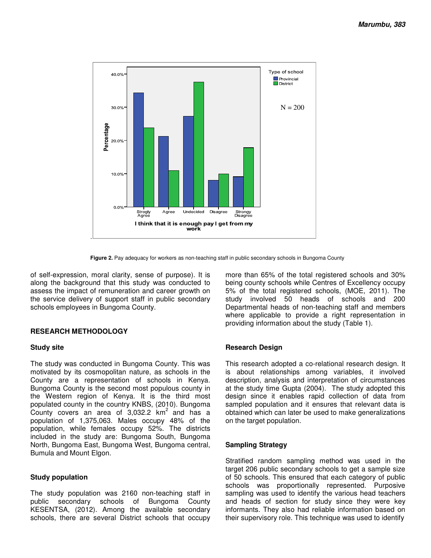

**Figure 2.** Pay adequacy for workers as non-teaching staff in public secondary schools in Bungoma County

of self-expression, moral clarity, sense of purpose). It is along the background that this study was conducted to assess the impact of remuneration and career growth on the service delivery of support staff in public secondary schools employees in Bungoma County.

#### **RESEARCH METHODOLOGY**

#### **Study site**

The study was conducted in Bungoma County. This was motivated by its cosmopolitan nature, as schools in the County are a representation of schools in Kenya. Bungoma County is the second most populous county in the Western region of Kenya. It is the third most populated county in the country KNBS, (2010). Bungoma County covers an area of  $3,032.2$  km<sup>2</sup> and has a population of 1,375,063. Males occupy 48% of the population, while females occupy 52%. The districts included in the study are: Bungoma South, Bungoma North, Bungoma East, Bungoma West, Bungoma central, Bumula and Mount Elgon.

#### **Study population**

The study population was 2160 non-teaching staff in public secondary schools of Bungoma County KESENTSA, (2012). Among the available secondary schools, there are several District schools that occupy more than 65% of the total registered schools and 30% being county schools while Centres of Excellency occupy 5% of the total registered schools, (MOE, 2011). The study involved 50 heads of schools and 200 Departmental heads of non-teaching staff and members where applicable to provide a right representation in providing information about the study (Table 1).

#### **Research Design**

This research adopted a co-relational research design. It is about relationships among variables, it involved description, analysis and interpretation of circumstances at the study time Gupta (2004). The study adopted this design since it enables rapid collection of data from sampled population and it ensures that relevant data is obtained which can later be used to make generalizations on the target population.

#### **Sampling Strategy**

Stratified random sampling method was used in the target 206 public secondary schools to get a sample size of 50 schools. This ensured that each category of public schools was proportionally represented. Purposive sampling was used to identify the various head teachers and heads of section for study since they were key informants. They also had reliable information based on their supervisory role. This technique was used to identify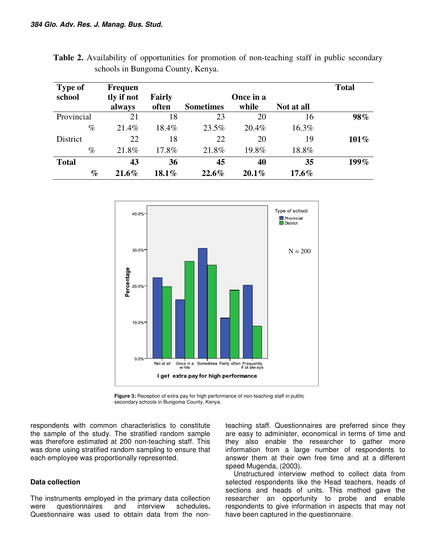| <b>Type of</b>  | <b>Frequen</b> |               |                  |           |            | <b>Total</b> |
|-----------------|----------------|---------------|------------------|-----------|------------|--------------|
| school          | tly if not     | <b>Fairly</b> |                  | Once in a |            |              |
|                 | always         | often         | <b>Sometimes</b> | while     | Not at all |              |
| Provincial      | 21             | 18            | 23               | 20        | 16         | 98%          |
| $\%$            | 21.4%          | 18.4%         | 23.5%            | 20.4%     | 16.3%      |              |
| <b>District</b> | 22             | 18            | 22               | 20        | 19         | 101%         |
| $\%$            | 21.8%          | 17.8%         | 21.8%            | 19.8%     | 18.8%      |              |
| <b>Total</b>    | 43             | 36            | 45               | 40        | 35         | 199%         |
| $\%$            | $21.6\%$       | $18.1\%$      | 22.6%            | $20.1\%$  | $17.6\%$   |              |

**Table 2.** Availability of opportunities for promotion of non-teaching staff in public secondary schools in Bungoma County, Kenya.



**Figure 3:** Reception of extra pay for high performance of non-teaching staff in public secondary schools in Bungoma County, Kenya.

respondents with common characteristics to constitute the sample of the study. The stratified random sample was therefore estimated at 200 non-teaching staff. This was done using stratified random sampling to ensure that each employee was proportionally represented.

#### **Data collection**

The instruments employed in the primary data collection were questionnaires and interview schedules**.**  Questionnaire was used to obtain data from the nonteaching staff. Questionnaires are preferred since they are easy to administer, economical in terms of time and they also enable the researcher to gather more information from a large number of respondents to answer them at their own free time and at a different speed Mugenda, (2003).

 Unstructured interview method to collect data from selected respondents like the Head teachers, heads of sections and heads of units. This method gave the researcher an opportunity to probe and enable respondents to give information in aspects that may not have been captured in the questionnaire.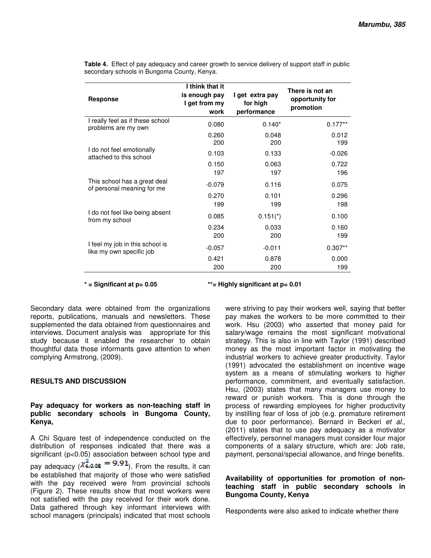| <b>Response</b>                                             | I think that it<br>is enough pay<br>I get from my<br>work | I get extra pay<br>for high<br>performance | There is not an<br>opportunity for<br>promotion |  |
|-------------------------------------------------------------|-----------------------------------------------------------|--------------------------------------------|-------------------------------------------------|--|
| I really feel as if these school<br>problems are my own     | 0.080                                                     | $0.140*$                                   | $0.177**$                                       |  |
|                                                             | 0.260<br>200                                              | 0.048<br>200                               | 0.012<br>199                                    |  |
| I do not feel emotionally<br>attached to this school        | 0.103                                                     | 0.133                                      | $-0.026$                                        |  |
|                                                             | 0.150<br>197                                              | 0.063<br>197                               | 0.722<br>196                                    |  |
| This school has a great deal<br>of personal meaning for me  | $-0.079$                                                  | 0.116                                      | 0.075                                           |  |
|                                                             | 0.270<br>199                                              | 0.101<br>199                               | 0.296<br>198                                    |  |
| I do not feel like being absent<br>from my school           | 0.085                                                     | $0.151*$                                   | 0.100                                           |  |
|                                                             | 0.234<br>200                                              | 0.033<br>200                               | 0.160<br>199                                    |  |
| I feel my job in this school is<br>like my own specific job | $-0.057$                                                  | $-0.011$                                   | $0.307**$                                       |  |
|                                                             | 0.421<br>200                                              | 0.878<br>200                               | 0.000<br>199                                    |  |

**Table 4.** Effect of pay adequacy and career growth to service delivery of support staff in public secondary schools in Bungoma County, Kenya.

**\* = Significant at p= 0.05 \*\*= Highly significant at p= 0.01** 

Secondary data were obtained from the organizations reports, publications, manuals and newsletters. These supplemented the data obtained from questionnaires and interviews. Document analysis was appropriate for this study because it enabled the researcher to obtain thoughtful data those informants gave attention to when complying Armstrong, (2009).

#### **RESULTS AND DISCUSSION**

#### **Pay adequacy for workers as non-teaching staff in public secondary schools in Bungoma County, Kenya,**

A Chi Square test of independence conducted on the distribution of responses indicated that there was a significant (p<0.05) association between school type and pay adequacy ( $\chi^2_{4,0.05}$  = 9.91). From the results, it can be established that majority of those who were satisfied with the pay received were from provincial schools (Figure 2). These results show that most workers were not satisfied with the pay received for their work done. Data gathered through key informant interviews with school managers (principals) indicated that most schools

were striving to pay their workers well, saying that better pay makes the workers to be more committed to their work. Hsu (2003) who asserted that money paid for salary/wage remains the most significant motivational strategy. This is also in line with Taylor (1991) described money as the most important factor in motivating the industrial workers to achieve greater productivity. Taylor (1991) advocated the establishment on incentive wage system as a means of stimulating workers to higher performance, commitment, and eventually satisfaction. Hsu, (2003) states that many managers use money to reward or punish workers. This is done through the process of rewarding employees for higher productivity by instilling fear of loss of job (e.g. premature retirement due to poor performance). Bernard in Beckeri et al., (2011) states that to use pay adequacy as a motivator effectively, personnel managers must consider four major components of a salary structure, which are: Job rate, payment, personal/special allowance, and fringe benefits.

#### **Availability of opportunities for promotion of nonteaching staff in public secondary schools in Bungoma County, Kenya**

Respondents were also asked to indicate whether there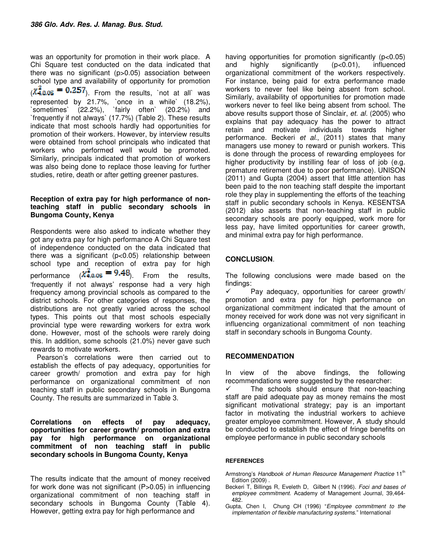was an opportunity for promotion in their work place. A Chi Square test conducted on the data indicated that there was no significant (p>0.05) association between school type and availability of opportunity for promotion  $(X_{4.0.05}^2 = 0.257)$ . From the results, `not at all` was represented by 21.7%, `once in a while` (18.2%), `sometimes` (22.2%), `fairly often` (20.2%) and `frequently if not always` (17.7%) (Table 2). These results indicate that most schools hardly had opportunities for promotion of their workers. However, by interview results were obtained from school principals who indicated that workers who performed well would be promoted. Similarly, principals indicated that promotion of workers was also being done to replace those leaving for further studies, retire, death or after getting greener pastures.

#### **Reception of extra pay for high performance of nonteaching staff in public secondary schools in Bungoma County, Kenya**

Respondents were also asked to indicate whether they got any extra pay for high performance A Chi Square test of independence conducted on the data indicated that there was a significant (p<0.05) relationship between school type and reception of extra pay for high performance  $\langle \chi^2_{4,0.05} = 9.48 \rangle$ . From the results, 'frequently if not always' response had a very high frequency among provincial schools as compared to the district schools. For other categories of responses, the distributions are not greatly varied across the school types. This points out that most schools especially provincial type were rewarding workers for extra work done. However, most of the schools were rarely doing this. In addition, some schools (21.0%) never gave such rewards to motivate workers.

Pearson's correlations were then carried out to establish the effects of pay adequacy, opportunities for career growth/ promotion and extra pay for high performance on organizational commitment of non teaching staff in public secondary schools in Bungoma County. The results are summarized in Table 3.

**Correlations on effects of pay adequacy, opportunities for career growth/ promotion and extra pay for high performance on organizational commitment of non teaching staff in public secondary schools in Bungoma County, Kenya**

The results indicate that the amount of money received for work done was not significant (P>0.05) in influencing organizational commitment of non teaching staff in secondary schools in Bungoma County (Table 4). However, getting extra pay for high performance and

having opportunities for promotion significantly (p<0.05) and highly significantly (p<0.01), influenced organizational commitment of the workers respectively. For instance, being paid for extra performance made workers to never feel like being absent from school. Similarly, availability of opportunities for promotion made workers never to feel like being absent from school. The above results support those of Sinclair, et. al. (2005) who explains that pay adequacy has the power to attract retain and motivate individuals towards higher performance. Beckeri et al., (2011) states that many managers use money to reward or punish workers. This is done through the process of rewarding employees for higher productivity by instilling fear of loss of job (e.g. premature retirement due to poor performance). UNISON (2011) and Gupta (2004) assert that little attention has been paid to the non teaching staff despite the important role they play in supplementing the efforts of the teaching staff in public secondary schools in Kenya. KESENTSA (2012) also asserts that non-teaching staff in public secondary schools are poorly equipped, work more for less pay, have limited opportunities for career growth, and minimal extra pay for high performance.

#### **CONCLUSION**.

The following conclusions were made based on the findings:

 $\checkmark$  Pay adequacy, opportunities for career growth/ promotion and extra pay for high performance on organizational commitment indicated that the amount of money received for work done was not very significant in influencing organizational commitment of non teaching staff in secondary schools in Bungoma County.

#### **RECOMMENDATION**

In view of the above findings, the following recommendations were suggested by the researcher:

 $\checkmark$  The schools should ensure that non-teaching staff are paid adequate pay as money remains the most significant motivational strategy; pay is an important factor in motivating the industrial workers to achieve greater employee commitment. However, A study should be conducted to establish the effect of fringe benefits on employee performance in public secondary schools

#### **REFERENCES**

- Armstrong's Handbook of Human Resource Management Practice 11<sup>th</sup> Edition (2009) .
- Beckeri T, Billings R, Eveleth D, Gilbert N (1996). Foci and bases of employee commitment. Academy of Management Journal, 39,464- 482.
- Gupta, Chen I, Chung CH (1996) "Employee commitment to the implementation of flexible manufacturing systems." International